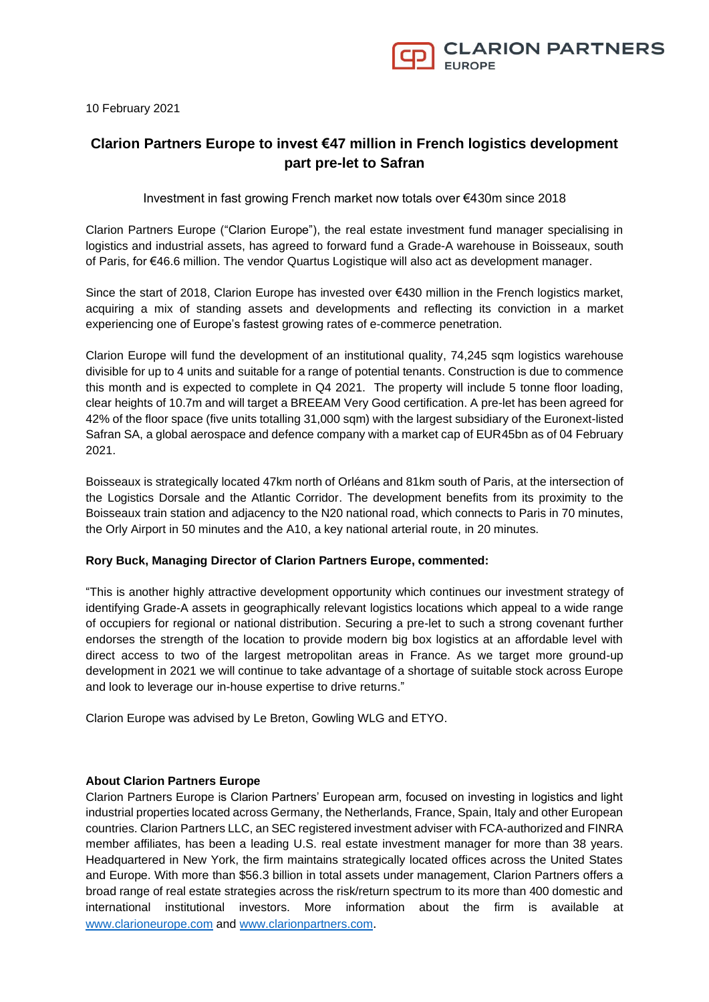

10 February 2021

## **Clarion Partners Europe to invest €47 million in French logistics development part pre-let to Safran**

Investment in fast growing French market now totals over €430m since 2018

Clarion Partners Europe ("Clarion Europe"), the real estate investment fund manager specialising in logistics and industrial assets, has agreed to forward fund a Grade-A warehouse in Boisseaux, south of Paris, for €46.6 million. The vendor Quartus Logistique will also act as development manager.

Since the start of 2018, Clarion Europe has invested over €430 million in the French logistics market, acquiring a mix of standing assets and developments and reflecting its conviction in a market experiencing one of Europe's fastest growing rates of e-commerce penetration.

Clarion Europe will fund the development of an institutional quality, 74,245 sqm logistics warehouse divisible for up to 4 units and suitable for a range of potential tenants. Construction is due to commence this month and is expected to complete in Q4 2021. The property will include 5 tonne floor loading, clear heights of 10.7m and will target a BREEAM Very Good certification. A pre-let has been agreed for 42% of the floor space (five units totalling 31,000 sqm) with the largest subsidiary of the Euronext-listed Safran SA, a global aerospace and defence company with a market cap of EUR45bn as of 04 February 2021.

Boisseaux is strategically located 47km north of Orléans and 81km south of Paris, at the intersection of the Logistics Dorsale and the Atlantic Corridor. The development benefits from its proximity to the Boisseaux train station and adjacency to the N20 national road, which connects to Paris in 70 minutes, the Orly Airport in 50 minutes and the A10, a key national arterial route, in 20 minutes.

## **Rory Buck, Managing Director of Clarion Partners Europe, commented:**

"This is another highly attractive development opportunity which continues our investment strategy of identifying Grade-A assets in geographically relevant logistics locations which appeal to a wide range of occupiers for regional or national distribution. Securing a pre-let to such a strong covenant further endorses the strength of the location to provide modern big box logistics at an affordable level with direct access to two of the largest metropolitan areas in France. As we target more ground-up development in 2021 we will continue to take advantage of a shortage of suitable stock across Europe and look to leverage our in-house expertise to drive returns."

Clarion Europe was advised by Le Breton, Gowling WLG and ETYO.

## **About Clarion Partners Europe**

Clarion Partners Europe is Clarion Partners' European arm, focused on investing in logistics and light industrial properties located across Germany, the Netherlands, France, Spain, Italy and other European countries. Clarion Partners LLC, an SEC registered investment adviser with FCA-authorized and FINRA member affiliates, has been a leading U.S. real estate investment manager for more than 38 years. Headquartered in New York, the firm maintains strategically located offices across the United States and Europe. With more than \$56.3 billion in total assets under management, Clarion Partners offers a broad range of real estate strategies across the risk/return spectrum to its more than 400 domestic and international institutional investors. More information about the firm is available at [www.clarioneurope.com](http://www.clarioneurope.com/) and [www.clarionpartners.com](http://www.clarionpartners.com/).